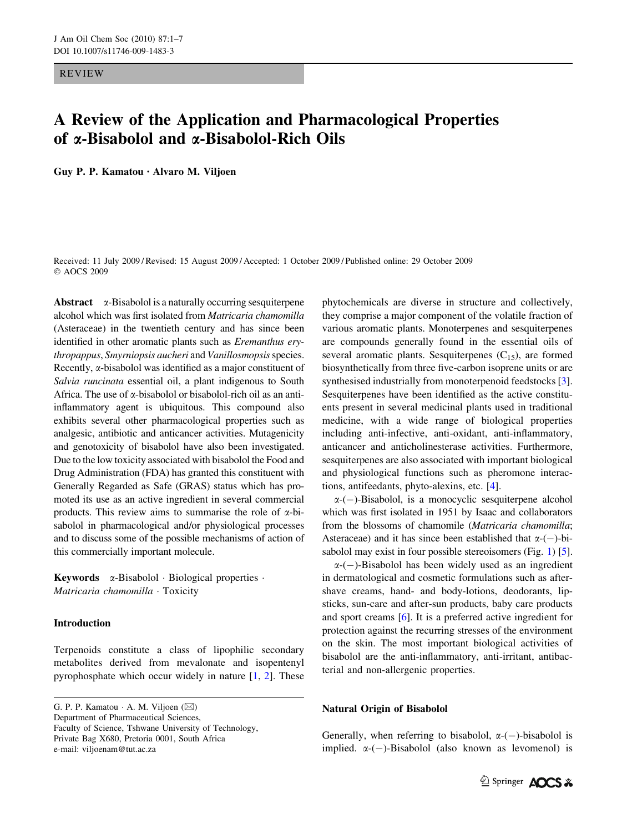REVIEW

# A Review of the Application and Pharmacological Properties of a-Bisabolol and a-Bisabolol-Rich Oils

Guy P. P. Kamatou *•* Alvaro M. Viljoen

Received: 11 July 2009 / Revised: 15 August 2009 / Accepted: 1 October 2009 / Published online: 29 October 2009 © AOCS 2009

Abstract  $\alpha$ -Bisabolol is a naturally occurring sesquiterpene alcohol which was first isolated from Matricaria chamomilla (Asteraceae) in the twentieth century and has since been identified in other aromatic plants such as Eremanthus erythropappus, Smyrniopsis aucheri and Vanillosmopsis species. Recently,  $\alpha$ -bisabolol was identified as a major constituent of Salvia runcinata essential oil, a plant indigenous to South Africa. The use of  $\alpha$ -bisabolol or bisabolol-rich oil as an antiinflammatory agent is ubiquitous. This compound also exhibits several other pharmacological properties such as analgesic, antibiotic and anticancer activities. Mutagenicity and genotoxicity of bisabolol have also been investigated. Due to the low toxicity associated with bisabolol the Food and Drug Administration (FDA) has granted this constituent with Generally Regarded as Safe (GRAS) status which has promoted its use as an active ingredient in several commercial products. This review aims to summarise the role of  $\alpha$ -bisabolol in pharmacological and/or physiological processes and to discuss some of the possible mechanisms of action of this commercially important molecule.

**Keywords**  $\alpha$ -Bisabolol · Biological properties · Matricaria chamomilla · Toxicity

# Introduction

Terpenoids constitute a class of lipophilic secondary metabolites derived from mevalonate and isopentenyl pyrophosphate which occur widely in nature [\[1](#page-5-0), [2](#page-5-0)]. These

G. P. P. Kamatou  $\cdot$  A. M. Viljoen ( $\boxtimes$ ) Department of Pharmaceutical Sciences, Faculty of Science, Tshwane University of Technology, Private Bag X680, Pretoria 0001, South Africa

e-mail: viljoenam@tut.ac.za

phytochemicals are diverse in structure and collectively, they comprise a major component of the volatile fraction of various aromatic plants. Monoterpenes and sesquiterpenes are compounds generally found in the essential oils of several aromatic plants. Sesquiterpenes  $(C_{15})$ , are formed biosynthetically from three five-carbon isoprene units or are synthesised industrially from monoterpenoid feedstocks [\[3](#page-5-0)]. Sesquiterpenes have been identified as the active constituents present in several medicinal plants used in traditional medicine, with a wide range of biological properties including anti-infective, anti-oxidant, anti-inflammatory, anticancer and anticholinesterase activities. Furthermore, sesquiterpenes are also associated with important biological and physiological functions such as pheromone interactions, antifeedants, phyto-alexins, etc. [[4\]](#page-5-0).

 $\alpha$ -(-)-Bisabolol, is a monocyclic sesquiterpene alcohol which was first isolated in 1951 by Isaac and collaborators from the blossoms of chamomile (Matricaria chamomilla; Asteraceae) and it has since been established that  $\alpha$ -(-)-bi-sabolol may exist in four possible stereoisomers (Fig. [1\)](#page-1-0) [[5\]](#page-5-0).

 $\alpha$ -(-)-Bisabolol has been widely used as an ingredient in dermatological and cosmetic formulations such as aftershave creams, hand- and body-lotions, deodorants, lipsticks, sun-care and after-sun products, baby care products and sport creams [[6\]](#page-5-0). It is a preferred active ingredient for protection against the recurring stresses of the environment on the skin. The most important biological activities of bisabolol are the anti-inflammatory, anti-irritant, antibacterial and non-allergenic properties.

# Natural Origin of Bisabolol

Generally, when referring to bisabolol,  $\alpha$ -(-)-bisabolol is implied.  $\alpha$ -(-)-Bisabolol (also known as levomenol) is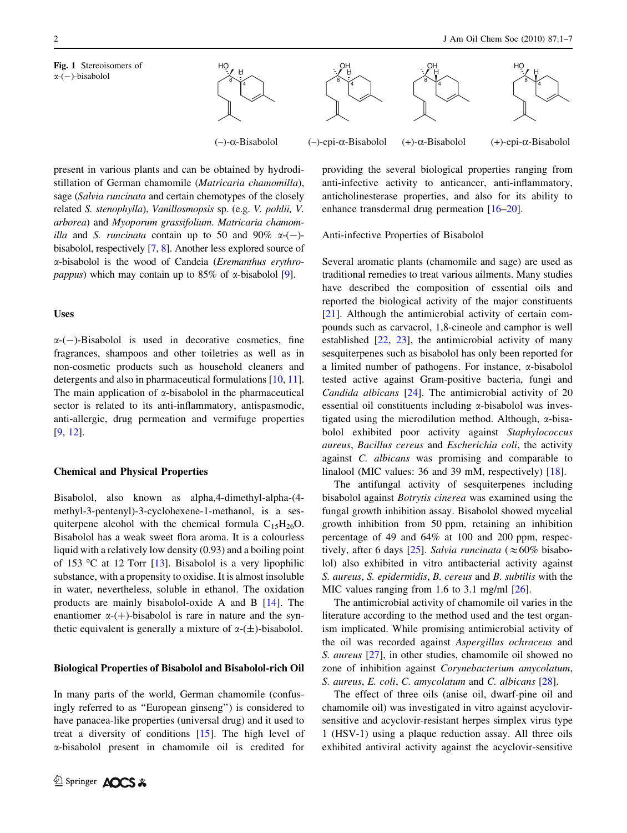Fig. 1 Stereoisomers of  $\alpha$ - $(-)$ -bisabolol

<span id="page-1-0"></span>



present in various plants and can be obtained by hydrodistillation of German chamomile (Matricaria chamomilla), sage (Salvia runcinata and certain chemotypes of the closely related S. stenophylla), Vanillosmopsis sp. (e.g. V. pohlii, V. arborea) and Myoporum grassifolium. Matricaria chamom*illa* and *S. runcinata* contain up to 50 and 90%  $\alpha$ -(-)bisabolol, respectively [\[7](#page-5-0), [8](#page-5-0)]. Another less explored source of a-bisabolol is the wood of Candeia (Eremanthus erythro*pappus*) which may contain up to  $85\%$  of  $\alpha$ -bisabolol [[9](#page-5-0)].

## Uses

 $\alpha$ -(-)-Bisabolol is used in decorative cosmetics, fine fragrances, shampoos and other toiletries as well as in non-cosmetic products such as household cleaners and detergents and also in pharmaceutical formulations [[10,](#page-5-0) [11](#page-5-0)]. The main application of  $\alpha$ -bisabolol in the pharmaceutical sector is related to its anti-inflammatory, antispasmodic, anti-allergic, drug permeation and vermifuge properties [\[9](#page-5-0), [12\]](#page-5-0).

## Chemical and Physical Properties

Bisabolol, also known as alpha,4-dimethyl-alpha-(4 methyl-3-pentenyl)-3-cyclohexene-1-methanol, is a sesquiterpene alcohol with the chemical formula  $C_{15}H_{26}O$ . Bisabolol has a weak sweet flora aroma. It is a colourless liquid with a relatively low density (0.93) and a boiling point of 153 °C at 12 Torr [[13\]](#page-5-0). Bisabolol is a very lipophilic substance, with a propensity to oxidise. It is almost insoluble in water, nevertheless, soluble in ethanol. The oxidation products are mainly bisabolol-oxide A and B [[14\]](#page-5-0). The enantiomer  $\alpha$ -(+)-bisabolol is rare in nature and the synthetic equivalent is generally a mixture of  $\alpha$ -( $\pm$ )-bisabolol.

#### Biological Properties of Bisabolol and Bisabolol-rich Oil

In many parts of the world, German chamomile (confusingly referred to as ''European ginseng'') is considered to have panacea-like properties (universal drug) and it used to treat a diversity of conditions [[15\]](#page-5-0). The high level of a-bisabolol present in chamomile oil is credited for providing the several biological properties ranging from anti-infective activity to anticancer, anti-inflammatory, anticholinesterase properties, and also for its ability to enhance transdermal drug permeation [\[16–20](#page-5-0)].

Anti-infective Properties of Bisabolol

Several aromatic plants (chamomile and sage) are used as traditional remedies to treat various ailments. Many studies have described the composition of essential oils and reported the biological activity of the major constituents [\[21](#page-5-0)]. Although the antimicrobial activity of certain compounds such as carvacrol, 1,8-cineole and camphor is well established [\[22](#page-5-0), [23\]](#page-6-0), the antimicrobial activity of many sesquiterpenes such as bisabolol has only been reported for a limited number of pathogens. For instance,  $\alpha$ -bisabolol tested active against Gram-positive bacteria, fungi and Candida albicans [\[24](#page-6-0)]. The antimicrobial activity of 20 essential oil constituents including  $\alpha$ -bisabolol was investigated using the microdilution method. Although,  $\alpha$ -bisabolol exhibited poor activity against Staphylococcus aureus, Bacillus cereus and Escherichia coli, the activity against C. albicans was promising and comparable to linalool (MIC values: 36 and 39 mM, respectively) [[18\]](#page-5-0).

The antifungal activity of sesquiterpenes including bisabolol against Botrytis cinerea was examined using the fungal growth inhibition assay. Bisabolol showed mycelial growth inhibition from 50 ppm, retaining an inhibition percentage of 49 and 64% at 100 and 200 ppm, respec-tively, after 6 days [[25\]](#page-6-0). Salvia runcinata ( $\approx 60\%$  bisabolol) also exhibited in vitro antibacterial activity against S. aureus, S. epidermidis, B. cereus and B. subtilis with the MIC values ranging from 1.6 to 3.1 mg/ml [\[26](#page-6-0)].

The antimicrobial activity of chamomile oil varies in the literature according to the method used and the test organism implicated. While promising antimicrobial activity of the oil was recorded against Aspergillus ochraceus and S. aureus [[27\]](#page-6-0), in other studies, chamomile oil showed no zone of inhibition against Corynebacterium amycolatum, S. aureus, E. coli, C. amycolatum and C. albicans [\[28](#page-6-0)].

The effect of three oils (anise oil, dwarf-pine oil and chamomile oil) was investigated in vitro against acyclovirsensitive and acyclovir-resistant herpes simplex virus type 1 (HSV-1) using a plaque reduction assay. All three oils exhibited antiviral activity against the acyclovir-sensitive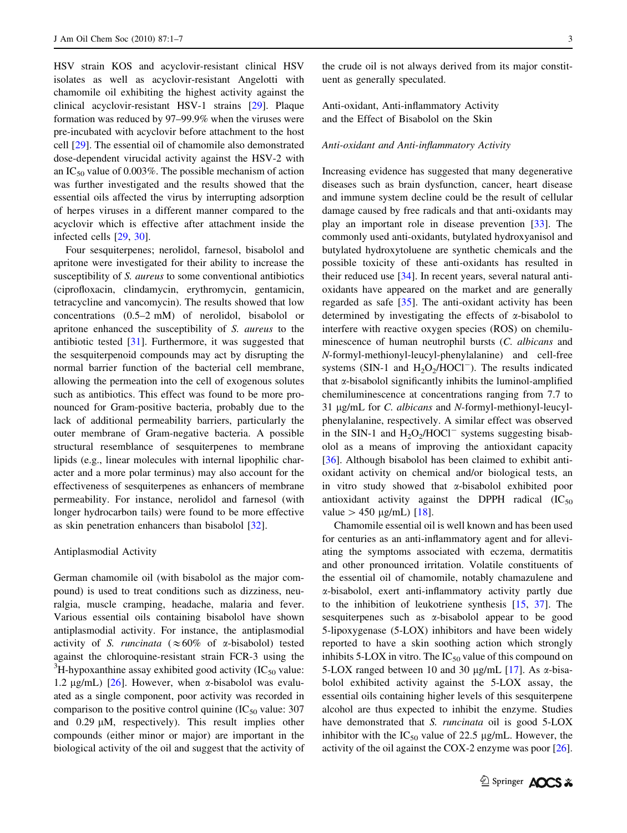HSV strain KOS and acyclovir-resistant clinical HSV isolates as well as acyclovir-resistant Angelotti with chamomile oil exhibiting the highest activity against the clinical acyclovir-resistant HSV-1 strains [\[29](#page-6-0)]. Plaque formation was reduced by 97–99.9% when the viruses were pre-incubated with acyclovir before attachment to the host cell [\[29](#page-6-0)]. The essential oil of chamomile also demonstrated dose-dependent virucidal activity against the HSV-2 with an IC<sub>50</sub> value of 0.003%. The possible mechanism of action was further investigated and the results showed that the essential oils affected the virus by interrupting adsorption of herpes viruses in a different manner compared to the acyclovir which is effective after attachment inside the infected cells [[29,](#page-6-0) [30\]](#page-6-0).

Four sesquiterpenes; nerolidol, farnesol, bisabolol and apritone were investigated for their ability to increase the susceptibility of S. *aureus* to some conventional antibiotics (ciprofloxacin, clindamycin, erythromycin, gentamicin, tetracycline and vancomycin). The results showed that low concentrations (0.5–2 mM) of nerolidol, bisabolol or apritone enhanced the susceptibility of S. aureus to the antibiotic tested [\[31](#page-6-0)]. Furthermore, it was suggested that the sesquiterpenoid compounds may act by disrupting the normal barrier function of the bacterial cell membrane, allowing the permeation into the cell of exogenous solutes such as antibiotics. This effect was found to be more pronounced for Gram-positive bacteria, probably due to the lack of additional permeability barriers, particularly the outer membrane of Gram-negative bacteria. A possible structural resemblance of sesquiterpenes to membrane lipids (e.g., linear molecules with internal lipophilic character and a more polar terminus) may also account for the effectiveness of sesquiterpenes as enhancers of membrane permeability. For instance, nerolidol and farnesol (with longer hydrocarbon tails) were found to be more effective as skin penetration enhancers than bisabolol [\[32](#page-6-0)].

#### Antiplasmodial Activity

German chamomile oil (with bisabolol as the major compound) is used to treat conditions such as dizziness, neuralgia, muscle cramping, headache, malaria and fever. Various essential oils containing bisabolol have shown antiplasmodial activity. For instance, the antiplasmodial activity of S. runcinata ( $\approx 60\%$  of  $\alpha$ -bisabolol) tested against the chloroquine-resistant strain FCR-3 using the  ${}^{3}$ H-hypoxanthine assay exhibited good activity (IC<sub>50</sub> value: 1.2  $\mu$ g/mL) [\[26](#page-6-0)]. However, when  $\alpha$ -bisabolol was evaluated as a single component, poor activity was recorded in comparison to the positive control quinine  $(IC_{50}$  value: 307 and  $0.29 \mu M$ , respectively). This result implies other compounds (either minor or major) are important in the biological activity of the oil and suggest that the activity of

the crude oil is not always derived from its major constituent as generally speculated.

Anti-oxidant, Anti-inflammatory Activity and the Effect of Bisabolol on the Skin

# Anti-oxidant and Anti-inflammatory Activity

Increasing evidence has suggested that many degenerative diseases such as brain dysfunction, cancer, heart disease and immune system decline could be the result of cellular damage caused by free radicals and that anti-oxidants may play an important role in disease prevention [[33](#page-6-0)]. The commonly used anti-oxidants, butylated hydroxyanisol and butylated hydroxytoluene are synthetic chemicals and the possible toxicity of these anti-oxidants has resulted in their reduced use [\[34](#page-6-0)]. In recent years, several natural antioxidants have appeared on the market and are generally regarded as safe [\[35](#page-6-0)]. The anti-oxidant activity has been determined by investigating the effects of  $\alpha$ -bisabolol to interfere with reactive oxygen species (ROS) on chemiluminescence of human neutrophil bursts (C. albicans and N-formyl-methionyl-leucyl-phenylalanine) and cell-free systems (SIN-1 and  $H_2O_2/HOCl^-$ ). The results indicated that  $\alpha$ -bisabolol significantly inhibits the luminol-amplified chemiluminescence at concentrations ranging from 7.7 to 31 µg/mL for C. albicans and N-formyl-methionyl-leucylphenylalanine, respectively. A similar effect was observed in the SIN-1 and  $H_2O_2/HOCl^-$  systems suggesting bisabolol as a means of improving the antioxidant capacity [\[36](#page-6-0)]. Although bisabolol has been claimed to exhibit antioxidant activity on chemical and/or biological tests, an in vitro study showed that a-bisabolol exhibited poor antioxidant activity against the DPPH radical  $(IC_{50}$ value  $> 450 \text{ µg/mL}$  [[18\]](#page-5-0).

Chamomile essential oil is well known and has been used for centuries as an anti-inflammatory agent and for alleviating the symptoms associated with eczema, dermatitis and other pronounced irritation. Volatile constituents of the essential oil of chamomile, notably chamazulene and a-bisabolol, exert anti-inflammatory activity partly due to the inhibition of leukotriene synthesis [[15,](#page-5-0) [37\]](#page-6-0). The sesquiterpenes such as  $\alpha$ -bisabolol appear to be good 5-lipoxygenase (5-LOX) inhibitors and have been widely reported to have a skin soothing action which strongly inhibits 5-LOX in vitro. The  $IC_{50}$  value of this compound on 5-LOX ranged between 10 and 30  $\mu$ g/mL [\[17](#page-5-0)]. As  $\alpha$ -bisabolol exhibited activity against the 5-LOX assay, the essential oils containing higher levels of this sesquiterpene alcohol are thus expected to inhibit the enzyme. Studies have demonstrated that *S. runcinata* oil is good 5-LOX inhibitor with the  $IC_{50}$  value of 22.5 µg/mL. However, the activity of the oil against the COX-2 enzyme was poor [\[26](#page-6-0)].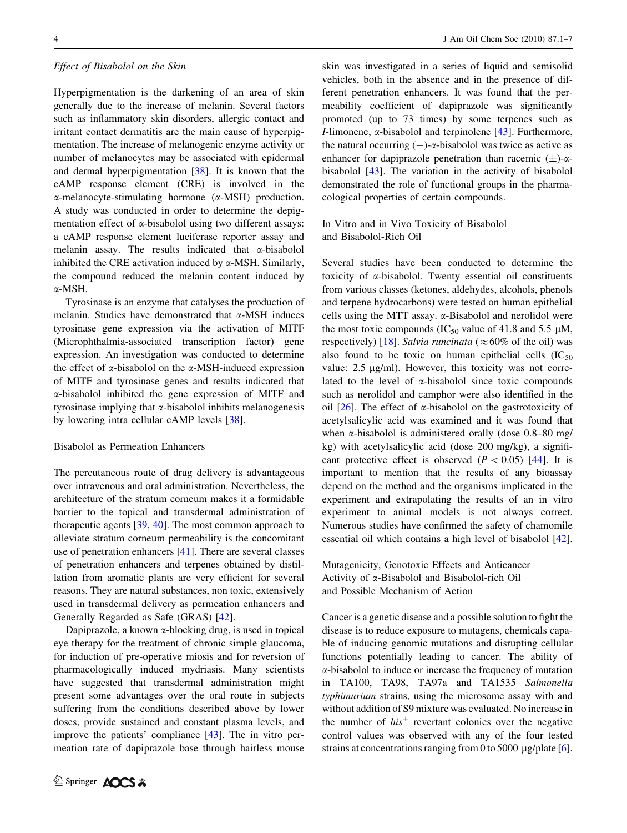#### Effect of Bisabolol on the Skin

Hyperpigmentation is the darkening of an area of skin generally due to the increase of melanin. Several factors such as inflammatory skin disorders, allergic contact and irritant contact dermatitis are the main cause of hyperpigmentation. The increase of melanogenic enzyme activity or number of melanocytes may be associated with epidermal and dermal hyperpigmentation [[38\]](#page-6-0). It is known that the cAMP response element (CRE) is involved in the  $\alpha$ -melanocyte-stimulating hormone ( $\alpha$ -MSH) production. A study was conducted in order to determine the depigmentation effect of  $\alpha$ -bisabolol using two different assays: a cAMP response element luciferase reporter assay and melanin assay. The results indicated that  $\alpha$ -bisabolol inhibited the CRE activation induced by  $\alpha$ -MSH. Similarly, the compound reduced the melanin content induced by a-MSH.

Tyrosinase is an enzyme that catalyses the production of melanin. Studies have demonstrated that  $\alpha$ -MSH induces tyrosinase gene expression via the activation of MITF (Microphthalmia-associated transcription factor) gene expression. An investigation was conducted to determine the effect of  $\alpha$ -bisabolol on the  $\alpha$ -MSH-induced expression of MITF and tyrosinase genes and results indicated that a-bisabolol inhibited the gene expression of MITF and tyrosinase implying that  $\alpha$ -bisabolol inhibits melanogenesis by lowering intra cellular cAMP levels [[38\]](#page-6-0).

## Bisabolol as Permeation Enhancers

The percutaneous route of drug delivery is advantageous over intravenous and oral administration. Nevertheless, the architecture of the stratum corneum makes it a formidable barrier to the topical and transdermal administration of therapeutic agents  $[39, 40]$  $[39, 40]$  $[39, 40]$  $[39, 40]$  $[39, 40]$ . The most common approach to alleviate stratum corneum permeability is the concomitant use of penetration enhancers [\[41](#page-6-0)]. There are several classes of penetration enhancers and terpenes obtained by distillation from aromatic plants are very efficient for several reasons. They are natural substances, non toxic, extensively used in transdermal delivery as permeation enhancers and Generally Regarded as Safe (GRAS) [\[42](#page-6-0)].

Dapiprazole, a known  $\alpha$ -blocking drug, is used in topical eye therapy for the treatment of chronic simple glaucoma, for induction of pre-operative miosis and for reversion of pharmacologically induced mydriasis. Many scientists have suggested that transdermal administration might present some advantages over the oral route in subjects suffering from the conditions described above by lower doses, provide sustained and constant plasma levels, and improve the patients' compliance [[43\]](#page-6-0). The in vitro permeation rate of dapiprazole base through hairless mouse skin was investigated in a series of liquid and semisolid vehicles, both in the absence and in the presence of different penetration enhancers. It was found that the permeability coefficient of dapiprazole was significantly promoted (up to 73 times) by some terpenes such as *I*-limonene,  $\alpha$ -bisabolol and terpinolene [[43\]](#page-6-0). Furthermore, the natural occurring  $(-)$ - $\alpha$ -bisabolol was twice as active as enhancer for dapiprazole penetration than racemic  $(\pm)$ - $\alpha$ bisabolol [[43\]](#page-6-0). The variation in the activity of bisabolol demonstrated the role of functional groups in the pharmacological properties of certain compounds.

In Vitro and in Vivo Toxicity of Bisabolol and Bisabolol-Rich Oil

Several studies have been conducted to determine the toxicity of a-bisabolol. Twenty essential oil constituents from various classes (ketones, aldehydes, alcohols, phenols and terpene hydrocarbons) were tested on human epithelial cells using the MTT assay. a-Bisabolol and nerolidol were the most toxic compounds (IC<sub>50</sub> value of 41.8 and 5.5  $\mu$ M, respectively) [[18\]](#page-5-0). Salvia runcinata ( $\approx 60\%$  of the oil) was also found to be toxic on human epithelial cells  $(IC_{50}$ value:  $2.5 \mu g/ml$ ). However, this toxicity was not correlated to the level of  $\alpha$ -bisabolol since toxic compounds such as nerolidol and camphor were also identified in the oil  $[26]$  $[26]$ . The effect of  $\alpha$ -bisabolol on the gastrotoxicity of acetylsalicylic acid was examined and it was found that when a-bisabolol is administered orally (dose 0.8–80 mg/ kg) with acetylsalicylic acid (dose 200 mg/kg), a significant protective effect is observed  $(P < 0.05)$  [[44\]](#page-6-0). It is important to mention that the results of any bioassay depend on the method and the organisms implicated in the experiment and extrapolating the results of an in vitro experiment to animal models is not always correct. Numerous studies have confirmed the safety of chamomile essential oil which contains a high level of bisabolol [\[42](#page-6-0)].

Mutagenicity, Genotoxic Effects and Anticancer Activity of a-Bisabolol and Bisabolol-rich Oil and Possible Mechanism of Action

Cancer is a genetic disease and a possible solution to fight the disease is to reduce exposure to mutagens, chemicals capable of inducing genomic mutations and disrupting cellular functions potentially leading to cancer. The ability of a-bisabolol to induce or increase the frequency of mutation in TA100, TA98, TA97a and TA1535 Salmonella typhimurium strains, using the microsome assay with and without addition of S9 mixture was evaluated. No increase in the number of  $his<sup>+</sup>$  revertant colonies over the negative control values was observed with any of the four tested strains at concentrations ranging from 0 to 5000  $\mu$ g/plate [\[6](#page-5-0)].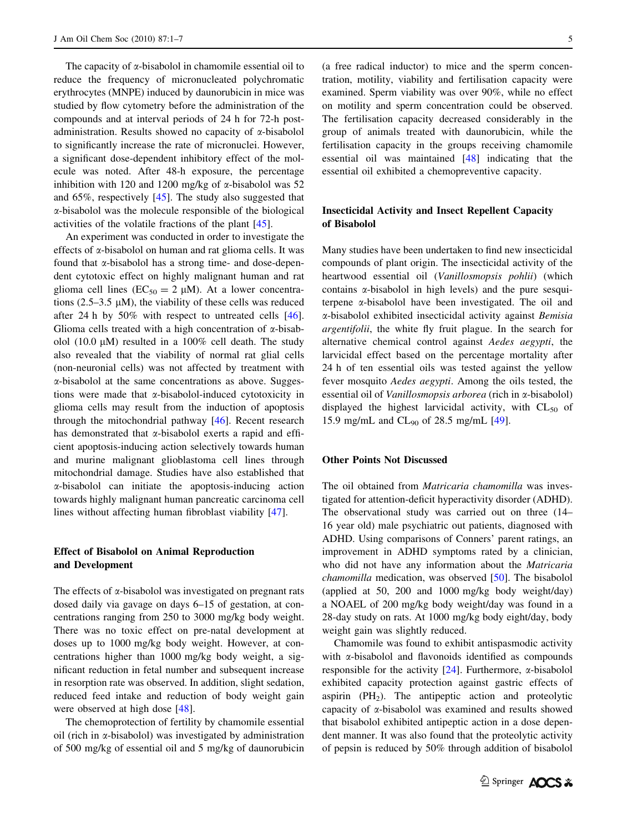The capacity of  $\alpha$ -bisabolol in chamomile essential oil to reduce the frequency of micronucleated polychromatic erythrocytes (MNPE) induced by daunorubicin in mice was studied by flow cytometry before the administration of the compounds and at interval periods of 24 h for 72-h postadministration. Results showed no capacity of  $\alpha$ -bisabolol to significantly increase the rate of micronuclei. However, a significant dose-dependent inhibitory effect of the molecule was noted. After 48-h exposure, the percentage inhibition with 120 and 1200 mg/kg of  $\alpha$ -bisabolol was 52 and 65%, respectively [\[45](#page-6-0)]. The study also suggested that a-bisabolol was the molecule responsible of the biological activities of the volatile fractions of the plant [[45\]](#page-6-0).

An experiment was conducted in order to investigate the effects of  $\alpha$ -bisabolol on human and rat glioma cells. It was found that  $\alpha$ -bisabolol has a strong time- and dose-dependent cytotoxic effect on highly malignant human and rat glioma cell lines ( $EC_{50} = 2 \mu M$ ). At a lower concentrations (2.5–3.5  $\mu$ M), the viability of these cells was reduced after 24 h by 50% with respect to untreated cells [\[46](#page-6-0)]. Glioma cells treated with a high concentration of  $\alpha$ -bisabolol (10.0  $\mu$ M) resulted in a 100% cell death. The study also revealed that the viability of normal rat glial cells (non-neuronial cells) was not affected by treatment with a-bisabolol at the same concentrations as above. Suggestions were made that a-bisabolol-induced cytotoxicity in glioma cells may result from the induction of apoptosis through the mitochondrial pathway [\[46](#page-6-0)]. Recent research has demonstrated that  $\alpha$ -bisabolol exerts a rapid and efficient apoptosis-inducing action selectively towards human and murine malignant glioblastoma cell lines through mitochondrial damage. Studies have also established that a-bisabolol can initiate the apoptosis-inducing action towards highly malignant human pancreatic carcinoma cell lines without affecting human fibroblast viability [[47\]](#page-6-0).

# Effect of Bisabolol on Animal Reproduction and Development

The effects of  $\alpha$ -bisabolol was investigated on pregnant rats dosed daily via gavage on days 6–15 of gestation, at concentrations ranging from 250 to 3000 mg/kg body weight. There was no toxic effect on pre-natal development at doses up to 1000 mg/kg body weight. However, at concentrations higher than 1000 mg/kg body weight, a significant reduction in fetal number and subsequent increase in resorption rate was observed. In addition, slight sedation, reduced feed intake and reduction of body weight gain were observed at high dose [[48\]](#page-6-0).

The chemoprotection of fertility by chamomile essential oil (rich in  $\alpha$ -bisabolol) was investigated by administration of 500 mg/kg of essential oil and 5 mg/kg of daunorubicin (a free radical inductor) to mice and the sperm concentration, motility, viability and fertilisation capacity were examined. Sperm viability was over 90%, while no effect on motility and sperm concentration could be observed. The fertilisation capacity decreased considerably in the group of animals treated with daunorubicin, while the fertilisation capacity in the groups receiving chamomile essential oil was maintained [[48\]](#page-6-0) indicating that the essential oil exhibited a chemopreventive capacity.

# Insecticidal Activity and Insect Repellent Capacity of Bisabolol

Many studies have been undertaken to find new insecticidal compounds of plant origin. The insecticidal activity of the heartwood essential oil (Vanillosmopsis pohlii) (which contains  $\alpha$ -bisabolol in high levels) and the pure sesquiterpene  $\alpha$ -bisabolol have been investigated. The oil and a-bisabolol exhibited insecticidal activity against Bemisia argentifolii, the white fly fruit plague. In the search for alternative chemical control against Aedes aegypti, the larvicidal effect based on the percentage mortality after 24 h of ten essential oils was tested against the yellow fever mosquito Aedes aegypti. Among the oils tested, the essential oil of Vanillosmopsis arborea (rich in  $\alpha$ -bisabolol) displayed the highest larvicidal activity, with  $CL_{50}$  of 15.9 mg/mL and  $CL_{90}$  of 28.5 mg/mL [[49\]](#page-6-0).

## Other Points Not Discussed

The oil obtained from Matricaria chamomilla was investigated for attention-deficit hyperactivity disorder (ADHD). The observational study was carried out on three (14– 16 year old) male psychiatric out patients, diagnosed with ADHD. Using comparisons of Conners' parent ratings, an improvement in ADHD symptoms rated by a clinician, who did not have any information about the Matricaria chamomilla medication, was observed [\[50](#page-6-0)]. The bisabolol (applied at 50, 200 and 1000 mg/kg body weight/day) a NOAEL of 200 mg/kg body weight/day was found in a 28-day study on rats. At 1000 mg/kg body eight/day, body weight gain was slightly reduced.

Chamomile was found to exhibit antispasmodic activity with  $\alpha$ -bisabolol and flavonoids identified as compounds responsible for the activity  $[24]$  $[24]$ . Furthermore,  $\alpha$ -bisabolol exhibited capacity protection against gastric effects of aspirin  $(PH<sub>2</sub>)$ . The antipeptic action and proteolytic capacity of a-bisabolol was examined and results showed that bisabolol exhibited antipeptic action in a dose dependent manner. It was also found that the proteolytic activity of pepsin is reduced by 50% through addition of bisabolol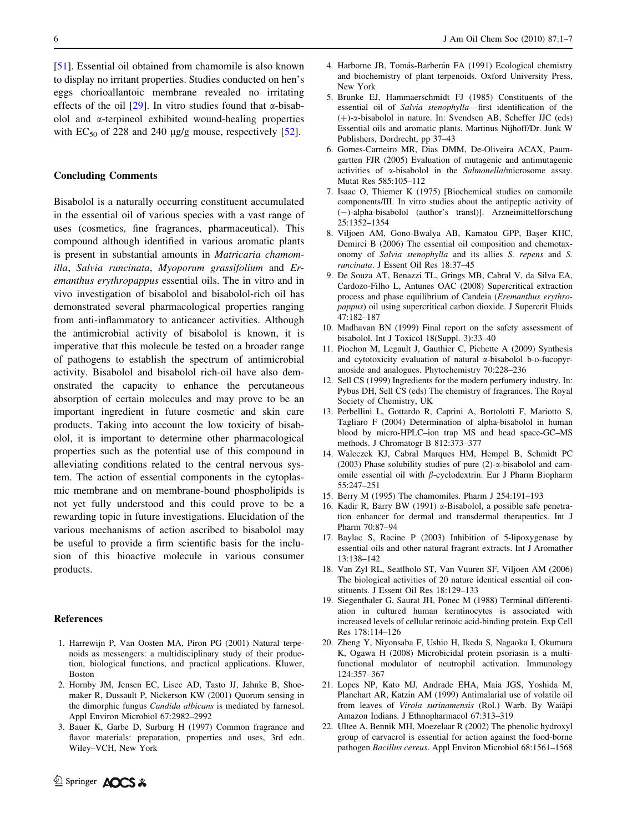<span id="page-5-0"></span>[\[51](#page-6-0)]. Essential oil obtained from chamomile is also known to display no irritant properties. Studies conducted on hen's eggs chorioallantoic membrane revealed no irritating effects of the oil  $[29]$  $[29]$ . In vitro studies found that  $\alpha$ -bisabolol and  $\alpha$ -terpineol exhibited wound-healing properties with  $EC_{50}$  of 228 and 240  $\mu$ g/g mouse, respectively [\[52](#page-6-0)].

#### Concluding Comments

Bisabolol is a naturally occurring constituent accumulated in the essential oil of various species with a vast range of uses (cosmetics, fine fragrances, pharmaceutical). This compound although identified in various aromatic plants is present in substantial amounts in Matricaria chamomilla, Salvia runcinata, Myoporum grassifolium and Eremanthus erythropappus essential oils. The in vitro and in vivo investigation of bisabolol and bisabolol-rich oil has demonstrated several pharmacological properties ranging from anti-inflammatory to anticancer activities. Although the antimicrobial activity of bisabolol is known, it is imperative that this molecule be tested on a broader range of pathogens to establish the spectrum of antimicrobial activity. Bisabolol and bisabolol rich-oil have also demonstrated the capacity to enhance the percutaneous absorption of certain molecules and may prove to be an important ingredient in future cosmetic and skin care products. Taking into account the low toxicity of bisabolol, it is important to determine other pharmacological properties such as the potential use of this compound in alleviating conditions related to the central nervous system. The action of essential components in the cytoplasmic membrane and on membrane-bound phospholipids is not yet fully understood and this could prove to be a rewarding topic in future investigations. Elucidation of the various mechanisms of action ascribed to bisabolol may be useful to provide a firm scientific basis for the inclusion of this bioactive molecule in various consumer products.

## References

- 1. Harrewijn P, Van Oosten MA, Piron PG (2001) Natural terpenoids as messengers: a multidisciplinary study of their production, biological functions, and practical applications. Kluwer, Boston
- 2. Hornby JM, Jensen EC, Lisec AD, Tasto JJ, Jahnke B, Shoemaker R, Dussault P, Nickerson KW (2001) Quorum sensing in the dimorphic fungus Candida albicans is mediated by farnesol. Appl Environ Microbiol 67:2982–2992
- 3. Bauer K, Garbe D, Surburg H (1997) Common fragrance and flavor materials: preparation, properties and uses, 3rd edn. Wiley–VCH, New York
- 4. Harborne JB, Tomás-Barberán FA (1991) Ecological chemistry and biochemistry of plant terpenoids. Oxford University Press, New York
- 5. Brunke EJ, Hammaerschmidt FJ (1985) Constituents of the essential oil of Salvia stenophylla—first identification of the  $(+)$ - $\alpha$ -bisabolol in nature. In: Svendsen AB, Scheffer JJC (eds) Essential oils and aromatic plants. Martinus Nijhoff/Dr. Junk W Publishers, Dordrecht, pp 37–43
- 6. Gomes-Carneiro MR, Dias DMM, De-Oliveira ACAX, Paumgartten FJR (2005) Evaluation of mutagenic and antimutagenic activities of a-bisabolol in the Salmonella/microsome assay. Mutat Res 585:105–112
- 7. Isaac O, Thiemer K (1975) [Biochemical studies on camomile components/III. In vitro studies about the antipeptic activity of (-)-alpha-bisabolol (author's transl)]. Arzneimittelforschung 25:1352–1354
- 8. Viljoen AM, Gono-Bwalya AB, Kamatou GPP, Baser KHC, Demirci B (2006) The essential oil composition and chemotaxonomy of Salvia stenophylla and its allies S. repens and S. runcinata. J Essent Oil Res 18:37–45
- 9. De Souza AT, Benazzi TL, Grings MB, Cabral V, da Silva EA, Cardozo-Filho L, Antunes OAC (2008) Supercritical extraction process and phase equilibrium of Candeia (Eremanthus erythropappus) oil using supercritical carbon dioxide. J Supercrit Fluids 47:182–187
- 10. Madhavan BN (1999) Final report on the safety assessment of bisabolol. Int J Toxicol 18(Suppl. 3):33–40
- 11. Piochon M, Legault J, Gauthier C, Pichette A (2009) Synthesis and cytotoxicity evaluation of natural *x*-bisabolol b-D-fucopyranoside and analogues. Phytochemistry 70:228–236
- 12. Sell CS (1999) Ingredients for the modern perfumery industry. In: Pybus DH, Sell CS (eds) The chemistry of fragrances. The Royal Society of Chemistry, UK
- 13. Perbellini L, Gottardo R, Caprini A, Bortolotti F, Mariotto S, Tagliaro F (2004) Determination of alpha-bisabolol in human blood by micro-HPLC–ion trap MS and head space-GC–MS methods. J Chromatogr B 812:373–377
- 14. Waleczek KJ, Cabral Marques HM, Hempel B, Schmidt PC (2003) Phase solubility studies of pure  $(2)$ - $\alpha$ -bisabolol and camomile essential oil with  $\beta$ -cyclodextrin. Eur J Pharm Biopharm 55:247–251
- 15. Berry M (1995) The chamomiles. Pharm J 254:191–193
- 16. Kadir R, Barry BW (1991) a-Bisabolol, a possible safe penetration enhancer for dermal and transdermal therapeutics. Int J Pharm 70:87–94
- 17. Baylac S, Racine P (2003) Inhibition of 5-lipoxygenase by essential oils and other natural fragrant extracts. Int J Aromather 13:138–142
- 18. Van Zyl RL, Seatlholo ST, Van Vuuren SF, Viljoen AM (2006) The biological activities of 20 nature identical essential oil constituents. J Essent Oil Res 18:129–133
- 19. Siegenthaler G, Saurat JH, Ponec M (1988) Terminal differentiation in cultured human keratinocytes is associated with increased levels of cellular retinoic acid-binding protein. Exp Cell Res 178:114–126
- 20. Zheng Y, Niyonsaba F, Ushio H, Ikeda S, Nagaoka I, Okumura K, Ogawa H (2008) Microbicidal protein psoriasin is a multifunctional modulator of neutrophil activation. Immunology 124:357–367
- 21. Lopes NP, Kato MJ, Andrade EHA, Maia JGS, Yoshida M, Planchart AR, Katzin AM (1999) Antimalarial use of volatile oil from leaves of Virola surinamensis (Rol.) Warb. By Waiapi Amazon Indians. J Ethnopharmacol 67:313–319
- 22. Ultee A, Bennik MH, Moezelaar R (2002) The phenolic hydroxyl group of carvacrol is essential for action against the food-borne pathogen Bacillus cereus. Appl Environ Microbiol 68:1561–1568